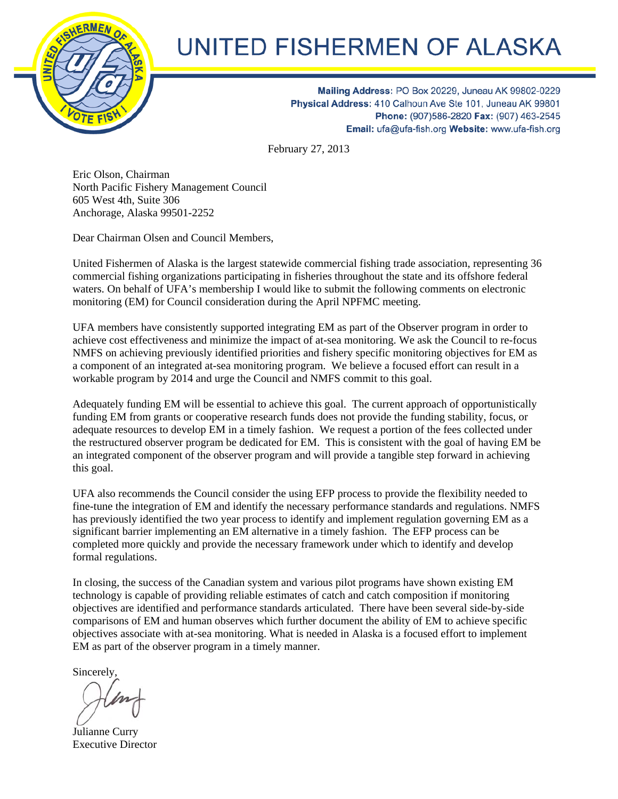

## **UNITED FISHERMEN OF ALASKA**

Mailing Address: PO Box 20229, Juneau AK 99802-0229 Physical Address: 410 Calhoun Ave Ste 101, Juneau AK 99801 Phone: (907)586-2820 Fax: (907) 463-2545 Email: ufa@ufa-fish.org Website: www.ufa-fish.org

February 27, 2013

Eric Olson, Chairman North Pacific Fishery Management Council 605 West 4th, Suite 306 Anchorage, Alaska 99501-2252

Dear Chairman Olsen and Council Members,

United Fishermen of Alaska is the largest statewide commercial fishing trade association, representing 36 commercial fishing organizations participating in fisheries throughout the state and its offshore federal waters. On behalf of UFA's membership I would like to submit the following comments on electronic monitoring (EM) for Council consideration during the April NPFMC meeting.

UFA members have consistently supported integrating EM as part of the Observer program in order to achieve cost effectiveness and minimize the impact of at-sea monitoring. We ask the Council to re-focus NMFS on achieving previously identified priorities and fishery specific monitoring objectives for EM as a component of an integrated at-sea monitoring program. We believe a focused effort can result in a workable program by 2014 and urge the Council and NMFS commit to this goal.

Adequately funding EM will be essential to achieve this goal. The current approach of opportunistically funding EM from grants or cooperative research funds does not provide the funding stability, focus, or adequate resources to develop EM in a timely fashion. We request a portion of the fees collected under the restructured observer program be dedicated for EM. This is consistent with the goal of having EM be an integrated component of the observer program and will provide a tangible step forward in achieving this goal.

UFA also recommends the Council consider the using EFP process to provide the flexibility needed to fine-tune the integration of EM and identify the necessary performance standards and regulations. NMFS has previously identified the two year process to identify and implement regulation governing EM as a significant barrier implementing an EM alternative in a timely fashion. The EFP process can be completed more quickly and provide the necessary framework under which to identify and develop formal regulations.

In closing, the success of the Canadian system and various pilot programs have shown existing EM technology is capable of providing reliable estimates of catch and catch composition if monitoring objectives are identified and performance standards articulated. There have been several side-by-side comparisons of EM and human observes which further document the ability of EM to achieve specific objectives associate with at-sea monitoring. What is needed in Alaska is a focused effort to implement EM as part of the observer program in a timely manner.

Sincerely,

Julianne Curry Executive Director